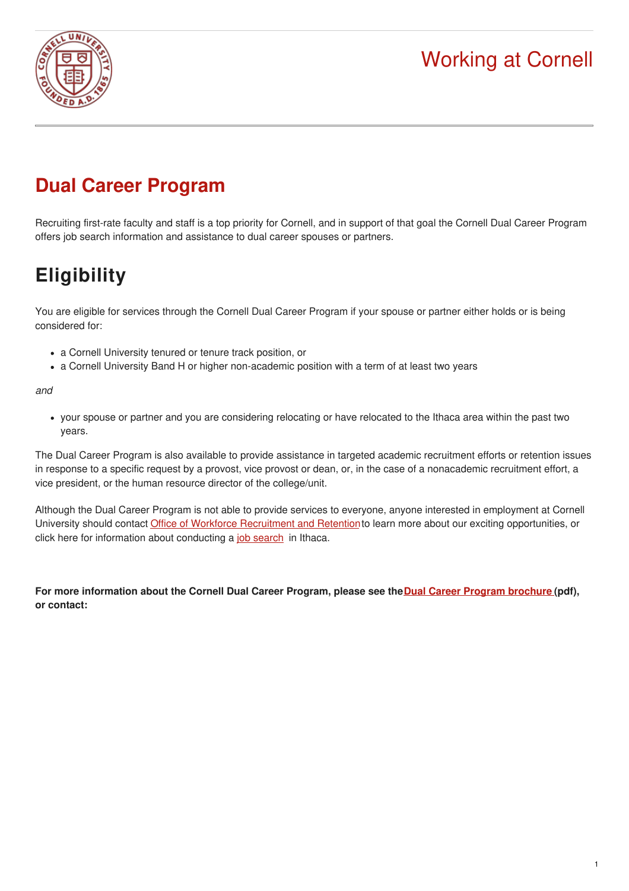

# Working at Cornell

### **Dual Career Program**

Recruiting first-rate faculty and staff is a top priority for Cornell, and in support of that goal the Cornell Dual Career Program offers job search information and assistance to dual career spouses or partners.

# **Eligibility**

You are eligible for services through the Cornell Dual Career Program if your spouse or partner either holds or is being considered for:

- a Cornell University tenured or tenure track position, or
- a Cornell University Band H or higher non-academic position with a term of at least two years

*and*

your spouse or partner and you are considering relocating or have relocated to the Ithaca area within the past two years.

The Dual Career Program is also available to provide assistance in targeted academic recruitment efforts or retention issues in response to a specific request by a provost, vice provost or dean, or, in the case of a nonacademic recruitment effort, a vice president, or the human resource director of the college/unit.

Although the Dual Career Program is not able to provide services to everyone, anyone interested in employment at Cornell University should contact **[O](mailto:mycareer@cornell.edu)ffice of Workforce [Recruitment](mailto:mycareer@cornell.edu?subject=Inquiry%20from%20HR%20website) and Retention** to learn more about our exciting opportunities, or click here for information about conducting a job [search](https://hr.cornell.edu/jobs/relocating/find-job) in Ithaca.

**For more information about the Cornell Dual Career Program, please see theDual Career Program [brochure](https://hr.cornell.edu/sites/default/files/dual_career_brochure.pdf) (pdf), or contact:**